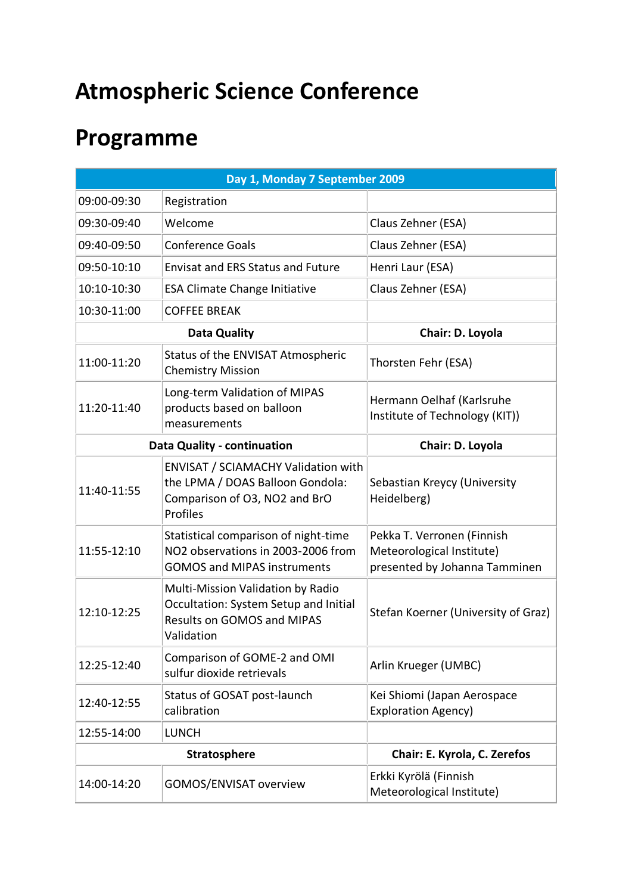## **Atmospheric Science Conference**

## **Programme**

|                     | Day 1, Monday 7 September 2009                                                                                                |                                                                                          |
|---------------------|-------------------------------------------------------------------------------------------------------------------------------|------------------------------------------------------------------------------------------|
| 09:00-09:30         | Registration                                                                                                                  |                                                                                          |
| 09:30-09:40         | Welcome                                                                                                                       | Claus Zehner (ESA)                                                                       |
| 09:40-09:50         | <b>Conference Goals</b>                                                                                                       | Claus Zehner (ESA)                                                                       |
| 09:50-10:10         | <b>Envisat and ERS Status and Future</b>                                                                                      | Henri Laur (ESA)                                                                         |
| 10:10-10:30         | <b>ESA Climate Change Initiative</b>                                                                                          | Claus Zehner (ESA)                                                                       |
| 10:30-11:00         | <b>COFFEE BREAK</b>                                                                                                           |                                                                                          |
|                     | <b>Data Quality</b>                                                                                                           | Chair: D. Loyola                                                                         |
| 11:00-11:20         | Status of the ENVISAT Atmospheric<br><b>Chemistry Mission</b>                                                                 | Thorsten Fehr (ESA)                                                                      |
| 11:20-11:40         | Long-term Validation of MIPAS<br>products based on balloon<br>measurements                                                    | Hermann Oelhaf (Karlsruhe<br>Institute of Technology (KIT))                              |
|                     | <b>Data Quality - continuation</b>                                                                                            | Chair: D. Loyola                                                                         |
| 11:40-11:55         | <b>ENVISAT / SCIAMACHY Validation with</b><br>the LPMA / DOAS Balloon Gondola:<br>Comparison of O3, NO2 and BrO<br>Profiles   | Sebastian Kreycy (University<br>Heidelberg)                                              |
| 11:55-12:10         | Statistical comparison of night-time<br>NO2 observations in 2003-2006 from<br><b>GOMOS and MIPAS instruments</b>              | Pekka T. Verronen (Finnish<br>Meteorological Institute)<br>presented by Johanna Tamminen |
| 12:10-12:25         | Multi-Mission Validation by Radio<br>Occultation: System Setup and Initial<br><b>Results on GOMOS and MIPAS</b><br>Validation | Stefan Koerner (University of Graz)                                                      |
| 12:25-12:40         | Comparison of GOME-2 and OMI<br>sulfur dioxide retrievals                                                                     | Arlin Krueger (UMBC)                                                                     |
| 12:40-12:55         | Status of GOSAT post-launch<br>calibration                                                                                    | Kei Shiomi (Japan Aerospace<br><b>Exploration Agency)</b>                                |
| 12:55-14:00         | <b>LUNCH</b>                                                                                                                  |                                                                                          |
| <b>Stratosphere</b> |                                                                                                                               | Chair: E. Kyrola, C. Zerefos                                                             |
| 14:00-14:20         | GOMOS/ENVISAT overview                                                                                                        | Erkki Kyrölä (Finnish<br>Meteorological Institute)                                       |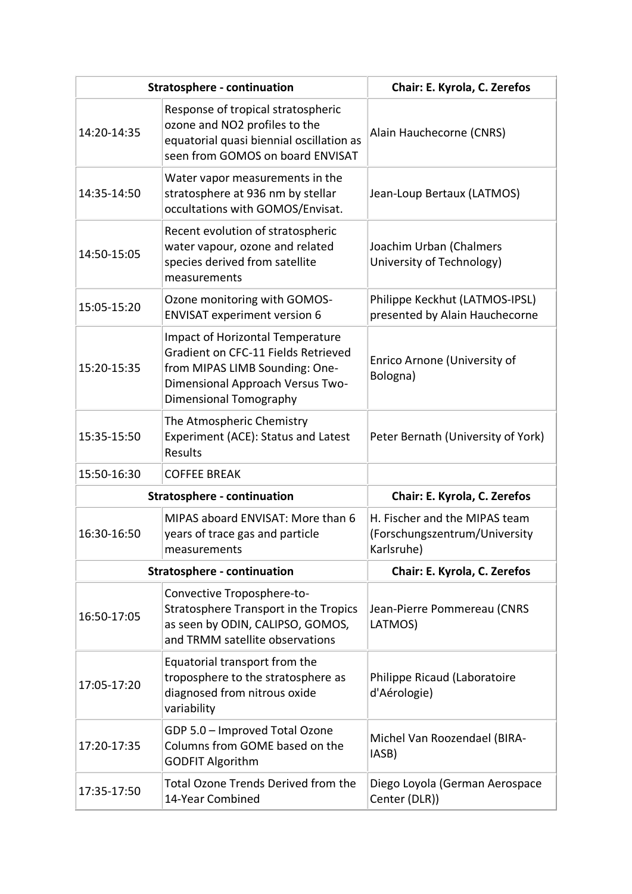|             | <b>Stratosphere - continuation</b>                                                                                                                                             | Chair: E. Kyrola, C. Zerefos                                                 |
|-------------|--------------------------------------------------------------------------------------------------------------------------------------------------------------------------------|------------------------------------------------------------------------------|
| 14:20-14:35 | Response of tropical stratospheric<br>ozone and NO2 profiles to the<br>equatorial quasi biennial oscillation as<br>seen from GOMOS on board ENVISAT                            | Alain Hauchecorne (CNRS)                                                     |
| 14:35-14:50 | Water vapor measurements in the<br>stratosphere at 936 nm by stellar<br>occultations with GOMOS/Envisat.                                                                       | Jean-Loup Bertaux (LATMOS)                                                   |
| 14:50-15:05 | Recent evolution of stratospheric<br>water vapour, ozone and related<br>species derived from satellite<br>measurements                                                         | Joachim Urban (Chalmers<br>University of Technology)                         |
| 15:05-15:20 | Ozone monitoring with GOMOS-<br><b>ENVISAT experiment version 6</b>                                                                                                            | Philippe Keckhut (LATMOS-IPSL)<br>presented by Alain Hauchecorne             |
| 15:20-15:35 | <b>Impact of Horizontal Temperature</b><br>Gradient on CFC-11 Fields Retrieved<br>from MIPAS LIMB Sounding: One-<br>Dimensional Approach Versus Two-<br>Dimensional Tomography | Enrico Arnone (University of<br>Bologna)                                     |
| 15:35-15:50 | The Atmospheric Chemistry<br>Experiment (ACE): Status and Latest<br>Results                                                                                                    | Peter Bernath (University of York)                                           |
| 15:50-16:30 | <b>COFFEE BREAK</b>                                                                                                                                                            |                                                                              |
|             | <b>Stratosphere - continuation</b>                                                                                                                                             | Chair: E. Kyrola, C. Zerefos                                                 |
| 16:30-16:50 | MIPAS aboard ENVISAT: More than 6<br>years of trace gas and particle<br>measurements                                                                                           | H. Fischer and the MIPAS team<br>(Forschungszentrum/University<br>Karlsruhe) |
|             | <b>Stratosphere - continuation</b>                                                                                                                                             | Chair: E. Kyrola, C. Zerefos                                                 |
| 16:50-17:05 | Convective Troposphere-to-<br>Stratosphere Transport in the Tropics<br>as seen by ODIN, CALIPSO, GOMOS,<br>and TRMM satellite observations                                     | Jean-Pierre Pommereau (CNRS<br>LATMOS)                                       |
| 17:05-17:20 | Equatorial transport from the<br>troposphere to the stratosphere as<br>diagnosed from nitrous oxide<br>variability                                                             | Philippe Ricaud (Laboratoire<br>d'Aérologie)                                 |
| 17:20-17:35 | GDP 5.0 - Improved Total Ozone<br>Columns from GOME based on the<br><b>GODFIT Algorithm</b>                                                                                    | Michel Van Roozendael (BIRA-<br>IASB)                                        |
| 17:35-17:50 | <b>Total Ozone Trends Derived from the</b><br>14-Year Combined                                                                                                                 | Diego Loyola (German Aerospace<br>Center (DLR))                              |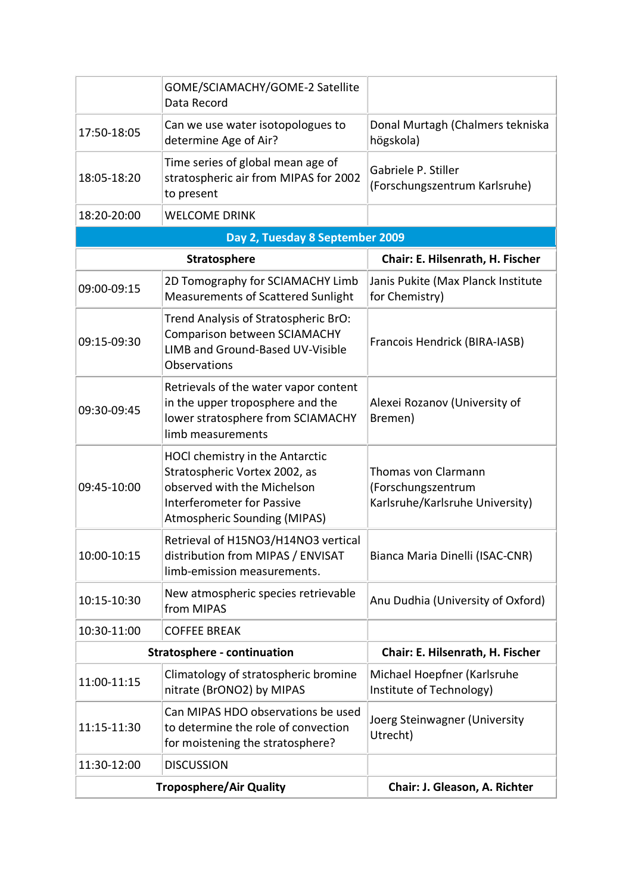|             | GOME/SCIAMACHY/GOME-2 Satellite<br>Data Record                                                                                                                              |                                                                              |
|-------------|-----------------------------------------------------------------------------------------------------------------------------------------------------------------------------|------------------------------------------------------------------------------|
| 17:50-18:05 | Can we use water isotopologues to<br>determine Age of Air?                                                                                                                  | Donal Murtagh (Chalmers tekniska<br>högskola)                                |
| 18:05-18:20 | Time series of global mean age of<br>stratospheric air from MIPAS for 2002<br>to present                                                                                    | Gabriele P. Stiller<br>(Forschungszentrum Karlsruhe)                         |
| 18:20-20:00 | <b>WELCOME DRINK</b>                                                                                                                                                        |                                                                              |
|             | Day 2, Tuesday 8 September 2009                                                                                                                                             |                                                                              |
|             | <b>Stratosphere</b>                                                                                                                                                         | Chair: E. Hilsenrath, H. Fischer                                             |
| 09:00-09:15 | 2D Tomography for SCIAMACHY Limb<br>Measurements of Scattered Sunlight                                                                                                      | Janis Pukite (Max Planck Institute<br>for Chemistry)                         |
| 09:15-09:30 | Trend Analysis of Stratospheric BrO:<br>Comparison between SCIAMACHY<br>LIMB and Ground-Based UV-Visible<br>Observations                                                    | Francois Hendrick (BIRA-IASB)                                                |
| 09:30-09:45 | Retrievals of the water vapor content<br>in the upper troposphere and the<br>lower stratosphere from SCIAMACHY<br>limb measurements                                         | Alexei Rozanov (University of<br>Bremen)                                     |
| 09:45-10:00 | HOCl chemistry in the Antarctic<br>Stratospheric Vortex 2002, as<br>observed with the Michelson<br><b>Interferometer for Passive</b><br><b>Atmospheric Sounding (MIPAS)</b> | Thomas von Clarmann<br>(Forschungszentrum<br>Karlsruhe/Karlsruhe University) |
| 10:00-10:15 | Retrieval of H15NO3/H14NO3 vertical<br>distribution from MIPAS / ENVISAT<br>limb-emission measurements.                                                                     | Bianca Maria Dinelli (ISAC-CNR)                                              |
| 10:15-10:30 | New atmospheric species retrievable<br>from MIPAS                                                                                                                           | Anu Dudhia (University of Oxford)                                            |
| 10:30-11:00 | <b>COFFEE BREAK</b>                                                                                                                                                         |                                                                              |
|             | <b>Stratosphere - continuation</b>                                                                                                                                          | Chair: E. Hilsenrath, H. Fischer                                             |
| 11:00-11:15 | Climatology of stratospheric bromine<br>nitrate (BrONO2) by MIPAS                                                                                                           | Michael Hoepfner (Karlsruhe<br>Institute of Technology)                      |
| 11:15-11:30 | Can MIPAS HDO observations be used<br>to determine the role of convection<br>for moistening the stratosphere?                                                               | Joerg Steinwagner (University<br>Utrecht)                                    |
| 11:30-12:00 | <b>DISCUSSION</b>                                                                                                                                                           |                                                                              |
|             | <b>Troposphere/Air Quality</b>                                                                                                                                              | Chair: J. Gleason, A. Richter                                                |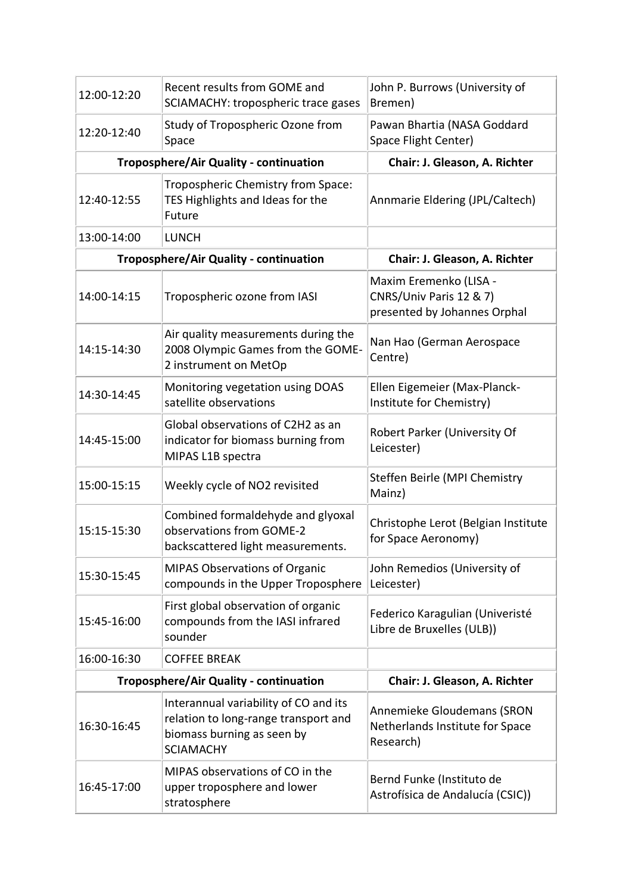| 12:00-12:20                            | Recent results from GOME and<br>SCIAMACHY: tropospheric trace gases                                                             | John P. Burrows (University of<br>Bremen)                                         |
|----------------------------------------|---------------------------------------------------------------------------------------------------------------------------------|-----------------------------------------------------------------------------------|
| 12:20-12:40                            | Study of Tropospheric Ozone from<br>Space                                                                                       | Pawan Bhartia (NASA Goddard<br>Space Flight Center)                               |
| Troposphere/Air Quality - continuation |                                                                                                                                 | Chair: J. Gleason, A. Richter                                                     |
| 12:40-12:55                            | Tropospheric Chemistry from Space:<br>TES Highlights and Ideas for the<br>Future                                                | Annmarie Eldering (JPL/Caltech)                                                   |
| 13:00-14:00                            | <b>LUNCH</b>                                                                                                                    |                                                                                   |
| Troposphere/Air Quality - continuation |                                                                                                                                 | Chair: J. Gleason, A. Richter                                                     |
| 14:00-14:15                            | Tropospheric ozone from IASI                                                                                                    | Maxim Eremenko (LISA -<br>CNRS/Univ Paris 12 & 7)<br>presented by Johannes Orphal |
| 14:15-14:30                            | Air quality measurements during the<br>2008 Olympic Games from the GOME-<br>2 instrument on MetOp                               | Nan Hao (German Aerospace<br>Centre)                                              |
| 14:30-14:45                            | Monitoring vegetation using DOAS<br>satellite observations                                                                      | Ellen Eigemeier (Max-Planck-<br>Institute for Chemistry)                          |
| 14:45-15:00                            | Global observations of C2H2 as an<br>indicator for biomass burning from<br>MIPAS L1B spectra                                    | Robert Parker (University Of<br>Leicester)                                        |
| 15:00-15:15                            | Weekly cycle of NO2 revisited                                                                                                   | Steffen Beirle (MPI Chemistry<br>Mainz)                                           |
| 15:15-15:30                            | Combined formaldehyde and glyoxal<br>observations from GOME-2<br>backscattered light measurements.                              | Christophe Lerot (Belgian Institute<br>for Space Aeronomy)                        |
| 15:30-15:45                            | <b>MIPAS Observations of Organic</b><br>compounds in the Upper Troposphere                                                      | John Remedios (University of<br>Leicester)                                        |
| 15:45-16:00                            | First global observation of organic<br>compounds from the IASI infrared<br>sounder                                              | Federico Karagulian (Univeristé<br>Libre de Bruxelles (ULB))                      |
| 16:00-16:30                            | <b>COFFEE BREAK</b>                                                                                                             |                                                                                   |
| Troposphere/Air Quality - continuation |                                                                                                                                 | Chair: J. Gleason, A. Richter                                                     |
| 16:30-16:45                            | Interannual variability of CO and its<br>relation to long-range transport and<br>biomass burning as seen by<br><b>SCIAMACHY</b> | Annemieke Gloudemans (SRON<br>Netherlands Institute for Space<br>Research)        |
| 16:45-17:00                            | MIPAS observations of CO in the<br>upper troposphere and lower<br>stratosphere                                                  | Bernd Funke (Instituto de<br>Astrofísica de Andalucía (CSIC))                     |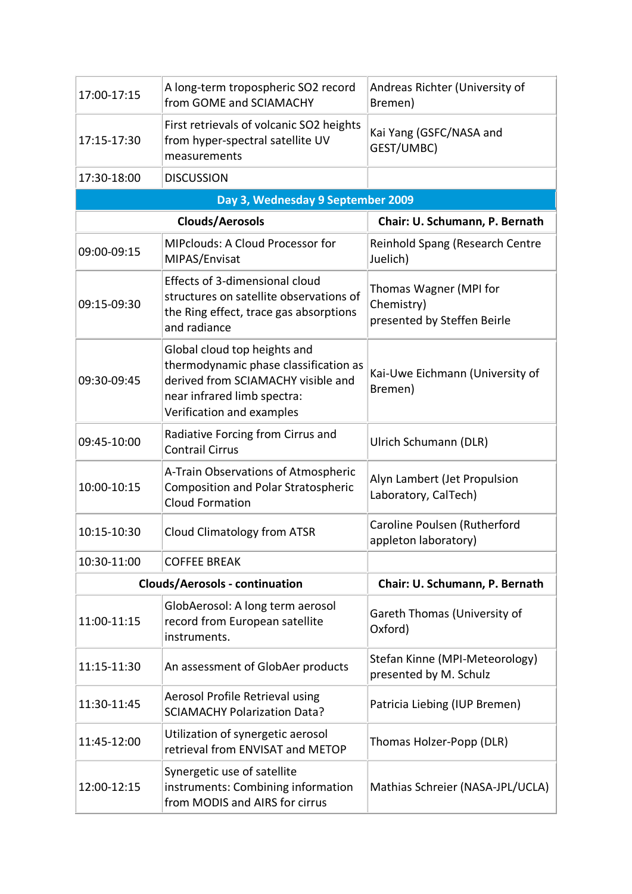| 17:00-17:15            | A long-term tropospheric SO2 record<br>from GOME and SCIAMACHY                                                                                                          | Andreas Richter (University of<br>Bremen)                           |
|------------------------|-------------------------------------------------------------------------------------------------------------------------------------------------------------------------|---------------------------------------------------------------------|
| 17:15-17:30            | First retrievals of volcanic SO2 heights<br>from hyper-spectral satellite UV<br>measurements                                                                            | Kai Yang (GSFC/NASA and<br>GEST/UMBC)                               |
| 17:30-18:00            | <b>DISCUSSION</b>                                                                                                                                                       |                                                                     |
|                        | Day 3, Wednesday 9 September 2009                                                                                                                                       |                                                                     |
| <b>Clouds/Aerosols</b> |                                                                                                                                                                         | Chair: U. Schumann, P. Bernath                                      |
| 09:00-09:15            | MIPclouds: A Cloud Processor for<br>MIPAS/Envisat                                                                                                                       | Reinhold Spang (Research Centre<br>Juelich)                         |
| 09:15-09:30            | Effects of 3-dimensional cloud<br>structures on satellite observations of<br>the Ring effect, trace gas absorptions<br>and radiance                                     | Thomas Wagner (MPI for<br>Chemistry)<br>presented by Steffen Beirle |
| 09:30-09:45            | Global cloud top heights and<br>thermodynamic phase classification as<br>derived from SCIAMACHY visible and<br>near infrared limb spectra:<br>Verification and examples | Kai-Uwe Eichmann (University of<br>Bremen)                          |
| 09:45-10:00            | Radiative Forcing from Cirrus and<br><b>Contrail Cirrus</b>                                                                                                             | Ulrich Schumann (DLR)                                               |
| 10:00-10:15            | A-Train Observations of Atmospheric<br><b>Composition and Polar Stratospheric</b><br><b>Cloud Formation</b>                                                             | Alyn Lambert (Jet Propulsion<br>Laboratory, CalTech)                |
| 10:15-10:30            | <b>Cloud Climatology from ATSR</b>                                                                                                                                      | Caroline Poulsen (Rutherford<br>appleton laboratory)                |
| 10:30-11:00            | <b>COFFEE BREAK</b>                                                                                                                                                     |                                                                     |
|                        | <b>Clouds/Aerosols - continuation</b>                                                                                                                                   | Chair: U. Schumann, P. Bernath                                      |
| 11:00-11:15            | GlobAerosol: A long term aerosol<br>record from European satellite<br>instruments.                                                                                      | Gareth Thomas (University of<br>Oxford)                             |
| 11:15-11:30            | An assessment of GlobAer products                                                                                                                                       | Stefan Kinne (MPI-Meteorology)<br>presented by M. Schulz            |
| 11:30-11:45            | Aerosol Profile Retrieval using<br><b>SCIAMACHY Polarization Data?</b>                                                                                                  | Patricia Liebing (IUP Bremen)                                       |
| 11:45-12:00            | Utilization of synergetic aerosol<br>retrieval from ENVISAT and METOP                                                                                                   | Thomas Holzer-Popp (DLR)                                            |
| 12:00-12:15            | Synergetic use of satellite<br>instruments: Combining information<br>from MODIS and AIRS for cirrus                                                                     | Mathias Schreier (NASA-JPL/UCLA)                                    |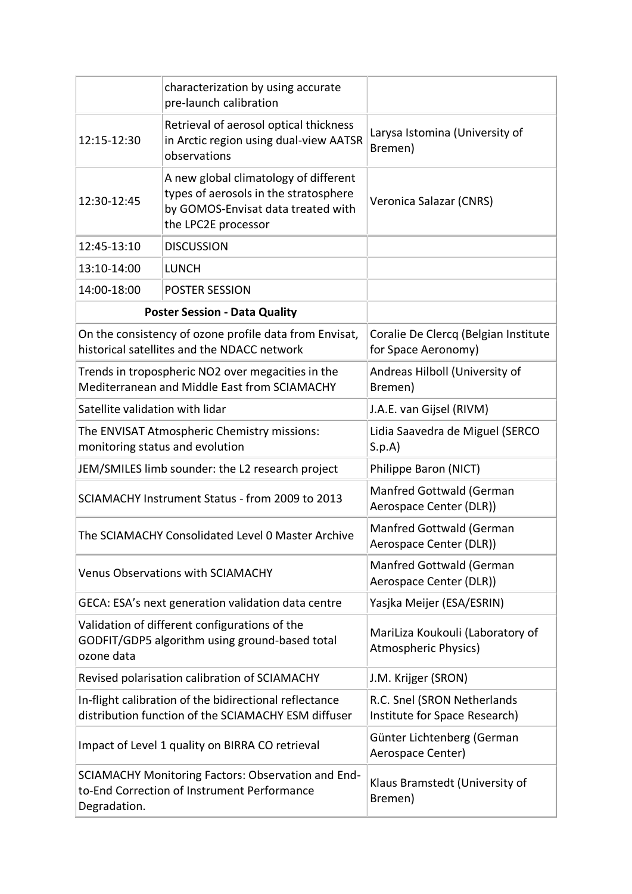|                                                                                                                   | characterization by using accurate<br>pre-launch calibration                                                                                |                                                                 |
|-------------------------------------------------------------------------------------------------------------------|---------------------------------------------------------------------------------------------------------------------------------------------|-----------------------------------------------------------------|
| 12:15-12:30                                                                                                       | Retrieval of aerosol optical thickness<br>in Arctic region using dual-view AATSR<br>observations                                            | Larysa Istomina (University of<br>Bremen)                       |
| 12:30-12:45                                                                                                       | A new global climatology of different<br>types of aerosols in the stratosphere<br>by GOMOS-Envisat data treated with<br>the LPC2E processor | Veronica Salazar (CNRS)                                         |
| 12:45-13:10                                                                                                       | <b>DISCUSSION</b>                                                                                                                           |                                                                 |
| 13:10-14:00                                                                                                       | <b>LUNCH</b>                                                                                                                                |                                                                 |
| 14:00-18:00                                                                                                       | POSTER SESSION                                                                                                                              |                                                                 |
|                                                                                                                   | <b>Poster Session - Data Quality</b>                                                                                                        |                                                                 |
|                                                                                                                   | On the consistency of ozone profile data from Envisat,<br>historical satellites and the NDACC network                                       | Coralie De Clercq (Belgian Institute<br>for Space Aeronomy)     |
| Trends in tropospheric NO2 over megacities in the<br>Mediterranean and Middle East from SCIAMACHY                 |                                                                                                                                             | Andreas Hilboll (University of<br>Bremen)                       |
| Satellite validation with lidar                                                                                   |                                                                                                                                             | J.A.E. van Gijsel (RIVM)                                        |
| The ENVISAT Atmospheric Chemistry missions:<br>monitoring status and evolution                                    |                                                                                                                                             | Lidia Saavedra de Miguel (SERCO<br>S.p.A                        |
| JEM/SMILES limb sounder: the L2 research project                                                                  |                                                                                                                                             | Philippe Baron (NICT)                                           |
| SCIAMACHY Instrument Status - from 2009 to 2013                                                                   |                                                                                                                                             | Manfred Gottwald (German<br>Aerospace Center (DLR))             |
| The SCIAMACHY Consolidated Level 0 Master Archive                                                                 |                                                                                                                                             | Manfred Gottwald (German<br>Aerospace Center (DLR))             |
| <b>Venus Observations with SCIAMACHY</b>                                                                          |                                                                                                                                             | Manfred Gottwald (German<br>Aerospace Center (DLR))             |
| GECA: ESA's next generation validation data centre                                                                |                                                                                                                                             | Yasjka Meijer (ESA/ESRIN)                                       |
| Validation of different configurations of the<br>GODFIT/GDP5 algorithm using ground-based total<br>ozone data     |                                                                                                                                             | MariLiza Koukouli (Laboratory of<br><b>Atmospheric Physics)</b> |
| Revised polarisation calibration of SCIAMACHY                                                                     |                                                                                                                                             | J.M. Krijger (SRON)                                             |
| In-flight calibration of the bidirectional reflectance<br>distribution function of the SCIAMACHY ESM diffuser     |                                                                                                                                             | R.C. Snel (SRON Netherlands<br>Institute for Space Research)    |
| Impact of Level 1 quality on BIRRA CO retrieval                                                                   |                                                                                                                                             | Günter Lichtenberg (German<br>Aerospace Center)                 |
| SCIAMACHY Monitoring Factors: Observation and End-<br>to-End Correction of Instrument Performance<br>Degradation. |                                                                                                                                             | Klaus Bramstedt (University of<br>Bremen)                       |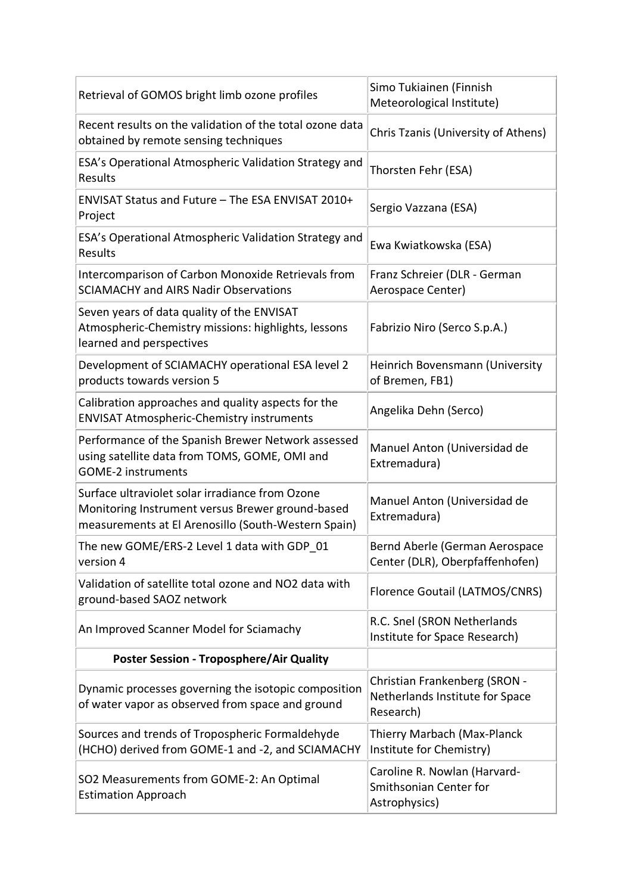| Retrieval of GOMOS bright limb ozone profiles                                                                                                              | Simo Tukiainen (Finnish<br>Meteorological Institute)                          |
|------------------------------------------------------------------------------------------------------------------------------------------------------------|-------------------------------------------------------------------------------|
| Recent results on the validation of the total ozone data<br>obtained by remote sensing techniques                                                          | Chris Tzanis (University of Athens)                                           |
| ESA's Operational Atmospheric Validation Strategy and<br>Results                                                                                           | Thorsten Fehr (ESA)                                                           |
| ENVISAT Status and Future - The ESA ENVISAT 2010+<br>Project                                                                                               | Sergio Vazzana (ESA)                                                          |
| ESA's Operational Atmospheric Validation Strategy and<br>Results                                                                                           | Ewa Kwiatkowska (ESA)                                                         |
| Intercomparison of Carbon Monoxide Retrievals from<br><b>SCIAMACHY and AIRS Nadir Observations</b>                                                         | Franz Schreier (DLR - German<br>Aerospace Center)                             |
| Seven years of data quality of the ENVISAT<br>Atmospheric-Chemistry missions: highlights, lessons<br>learned and perspectives                              | Fabrizio Niro (Serco S.p.A.)                                                  |
| Development of SCIAMACHY operational ESA level 2<br>products towards version 5                                                                             | Heinrich Bovensmann (University<br>of Bremen, FB1)                            |
| Calibration approaches and quality aspects for the<br><b>ENVISAT Atmospheric-Chemistry instruments</b>                                                     | Angelika Dehn (Serco)                                                         |
| Performance of the Spanish Brewer Network assessed<br>using satellite data from TOMS, GOME, OMI and<br><b>GOME-2 instruments</b>                           | Manuel Anton (Universidad de<br>Extremadura)                                  |
| Surface ultraviolet solar irradiance from Ozone<br>Monitoring Instrument versus Brewer ground-based<br>measurements at El Arenosillo (South-Western Spain) | Manuel Anton (Universidad de<br>Extremadura)                                  |
| The new GOME/ERS-2 Level 1 data with GDP 01<br>version 4                                                                                                   | Bernd Aberle (German Aerospace<br>Center (DLR), Oberpfaffenhofen)             |
| Validation of satellite total ozone and NO2 data with<br>ground-based SAOZ network                                                                         | Florence Goutail (LATMOS/CNRS)                                                |
| An Improved Scanner Model for Sciamachy                                                                                                                    | R.C. Snel (SRON Netherlands<br>Institute for Space Research)                  |
| <b>Poster Session - Troposphere/Air Quality</b>                                                                                                            |                                                                               |
| Dynamic processes governing the isotopic composition<br>of water vapor as observed from space and ground                                                   | Christian Frankenberg (SRON -<br>Netherlands Institute for Space<br>Research) |
| Sources and trends of Tropospheric Formaldehyde<br>(HCHO) derived from GOME-1 and -2, and SCIAMACHY                                                        | Thierry Marbach (Max-Planck<br>Institute for Chemistry)                       |
| SO2 Measurements from GOME-2: An Optimal<br><b>Estimation Approach</b>                                                                                     | Caroline R. Nowlan (Harvard-<br>Smithsonian Center for<br>Astrophysics)       |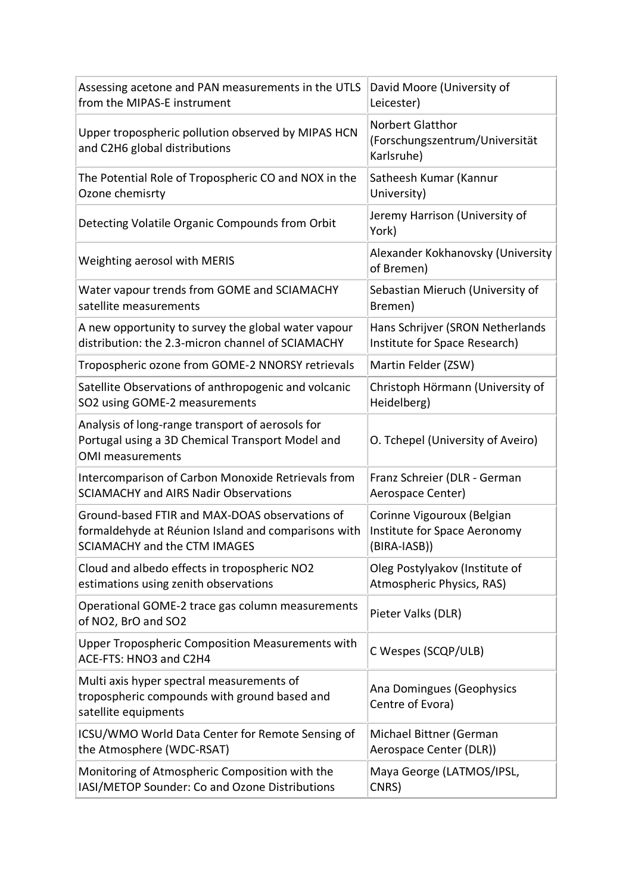| Assessing acetone and PAN measurements in the UTLS                                                                              | David Moore (University of                                       |
|---------------------------------------------------------------------------------------------------------------------------------|------------------------------------------------------------------|
| from the MIPAS-E instrument                                                                                                     | Leicester)                                                       |
| Upper tropospheric pollution observed by MIPAS HCN<br>and C2H6 global distributions                                             | Norbert Glatthor<br>(Forschungszentrum/Universität<br>Karlsruhe) |
| The Potential Role of Tropospheric CO and NOX in the                                                                            | Satheesh Kumar (Kannur                                           |
| Ozone chemisrty                                                                                                                 | University)                                                      |
| Detecting Volatile Organic Compounds from Orbit                                                                                 | Jeremy Harrison (University of<br>York)                          |
| Weighting aerosol with MERIS                                                                                                    | Alexander Kokhanovsky (University<br>of Bremen)                  |
| Water vapour trends from GOME and SCIAMACHY                                                                                     | Sebastian Mieruch (University of                                 |
| satellite measurements                                                                                                          | Bremen)                                                          |
| A new opportunity to survey the global water vapour                                                                             | Hans Schrijver (SRON Netherlands                                 |
| distribution: the 2.3-micron channel of SCIAMACHY                                                                               | Institute for Space Research)                                    |
| Tropospheric ozone from GOME-2 NNORSY retrievals                                                                                | Martin Felder (ZSW)                                              |
| Satellite Observations of anthropogenic and volcanic                                                                            | Christoph Hörmann (University of                                 |
| SO2 using GOME-2 measurements                                                                                                   | Heidelberg)                                                      |
| Analysis of long-range transport of aerosols for<br>Portugal using a 3D Chemical Transport Model and<br><b>OMI</b> measurements | O. Tchepel (University of Aveiro)                                |
| Intercomparison of Carbon Monoxide Retrievals from                                                                              | Franz Schreier (DLR - German                                     |
| <b>SCIAMACHY and AIRS Nadir Observations</b>                                                                                    | Aerospace Center)                                                |
| Ground-based FTIR and MAX-DOAS observations of                                                                                  | Corinne Vigouroux (Belgian                                       |
| formaldehyde at Réunion Island and comparisons with                                                                             | Institute for Space Aeronomy                                     |
| <b>SCIAMACHY and the CTM IMAGES</b>                                                                                             | (BIRA-IASB))                                                     |
| Cloud and albedo effects in tropospheric NO2                                                                                    | Oleg Postylyakov (Institute of                                   |
| estimations using zenith observations                                                                                           | Atmospheric Physics, RAS)                                        |
| Operational GOME-2 trace gas column measurements<br>of NO2, BrO and SO2                                                         | Pieter Valks (DLR)                                               |
| <b>Upper Tropospheric Composition Measurements with</b><br>ACE-FTS: HNO3 and C2H4                                               | C Wespes (SCQP/ULB)                                              |
| Multi axis hyper spectral measurements of<br>tropospheric compounds with ground based and<br>satellite equipments               | Ana Domingues (Geophysics<br>Centre of Evora)                    |
| ICSU/WMO World Data Center for Remote Sensing of                                                                                | Michael Bittner (German                                          |
| the Atmosphere (WDC-RSAT)                                                                                                       | Aerospace Center (DLR))                                          |
| Monitoring of Atmospheric Composition with the                                                                                  | Maya George (LATMOS/IPSL,                                        |
| IASI/METOP Sounder: Co and Ozone Distributions                                                                                  | CNRS)                                                            |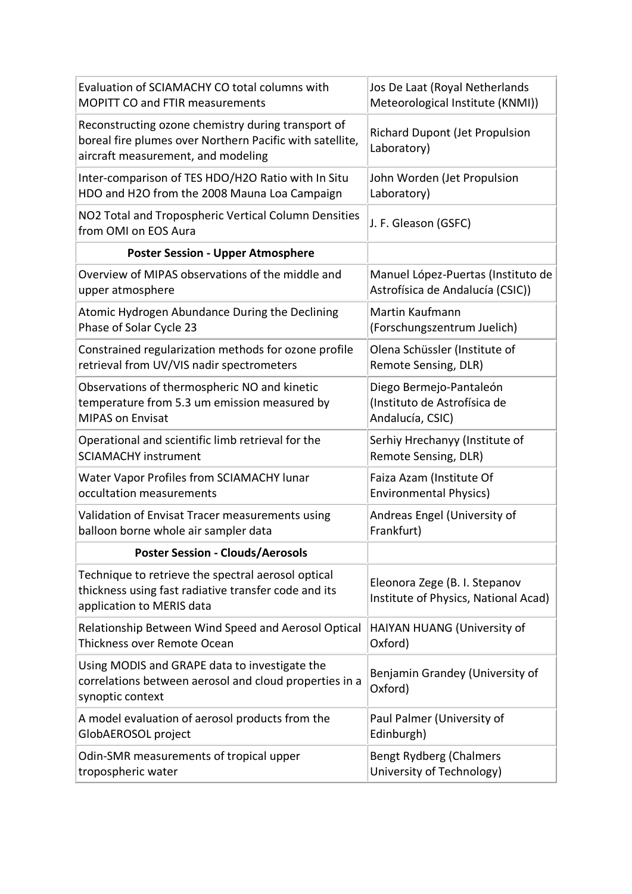| Evaluation of SCIAMACHY CO total columns with                                                                                                        | Jos De Laat (Royal Netherlands                                        |
|------------------------------------------------------------------------------------------------------------------------------------------------------|-----------------------------------------------------------------------|
| <b>MOPITT CO and FTIR measurements</b>                                                                                                               | Meteorological Institute (KNMI))                                      |
| Reconstructing ozone chemistry during transport of<br>boreal fire plumes over Northern Pacific with satellite,<br>aircraft measurement, and modeling | <b>Richard Dupont (Jet Propulsion</b><br>Laboratory)                  |
| Inter-comparison of TES HDO/H2O Ratio with In Situ                                                                                                   | John Worden (Jet Propulsion                                           |
| HDO and H2O from the 2008 Mauna Loa Campaign                                                                                                         | Laboratory)                                                           |
| NO2 Total and Tropospheric Vertical Column Densities<br>from OMI on EOS Aura                                                                         | J. F. Gleason (GSFC)                                                  |
| <b>Poster Session - Upper Atmosphere</b>                                                                                                             |                                                                       |
| Overview of MIPAS observations of the middle and                                                                                                     | Manuel López-Puertas (Instituto de                                    |
| upper atmosphere                                                                                                                                     | Astrofísica de Andalucía (CSIC))                                      |
| Atomic Hydrogen Abundance During the Declining                                                                                                       | Martin Kaufmann                                                       |
| Phase of Solar Cycle 23                                                                                                                              | (Forschungszentrum Juelich)                                           |
| Constrained regularization methods for ozone profile                                                                                                 | Olena Schüssler (Institute of                                         |
| retrieval from UV/VIS nadir spectrometers                                                                                                            | Remote Sensing, DLR)                                                  |
| Observations of thermospheric NO and kinetic                                                                                                         | Diego Bermejo-Pantaleón                                               |
| temperature from 5.3 um emission measured by                                                                                                         | (Instituto de Astrofísica de                                          |
| <b>MIPAS on Envisat</b>                                                                                                                              | Andalucía, CSIC)                                                      |
| Operational and scientific limb retrieval for the                                                                                                    | Serhiy Hrechanyy (Institute of                                        |
| <b>SCIAMACHY instrument</b>                                                                                                                          | Remote Sensing, DLR)                                                  |
| <b>Water Vapor Profiles from SCIAMACHY lunar</b>                                                                                                     | Faiza Azam (Institute Of                                              |
| occultation measurements                                                                                                                             | <b>Environmental Physics)</b>                                         |
| Validation of Envisat Tracer measurements using                                                                                                      | Andreas Engel (University of                                          |
| balloon borne whole air sampler data                                                                                                                 | Frankfurt)                                                            |
| <b>Poster Session - Clouds/Aerosols</b>                                                                                                              |                                                                       |
| Technique to retrieve the spectral aerosol optical<br>thickness using fast radiative transfer code and its<br>application to MERIS data              | Eleonora Zege (B. I. Stepanov<br>Institute of Physics, National Acad) |
| Relationship Between Wind Speed and Aerosol Optical                                                                                                  | HAIYAN HUANG (University of                                           |
| Thickness over Remote Ocean                                                                                                                          | Oxford)                                                               |
| Using MODIS and GRAPE data to investigate the<br>correlations between aerosol and cloud properties in a<br>synoptic context                          | Benjamin Grandey (University of<br>Oxford)                            |
| A model evaluation of aerosol products from the                                                                                                      | Paul Palmer (University of                                            |
| GlobAEROSOL project                                                                                                                                  | Edinburgh)                                                            |
| Odin-SMR measurements of tropical upper                                                                                                              | Bengt Rydberg (Chalmers                                               |
| tropospheric water                                                                                                                                   | University of Technology)                                             |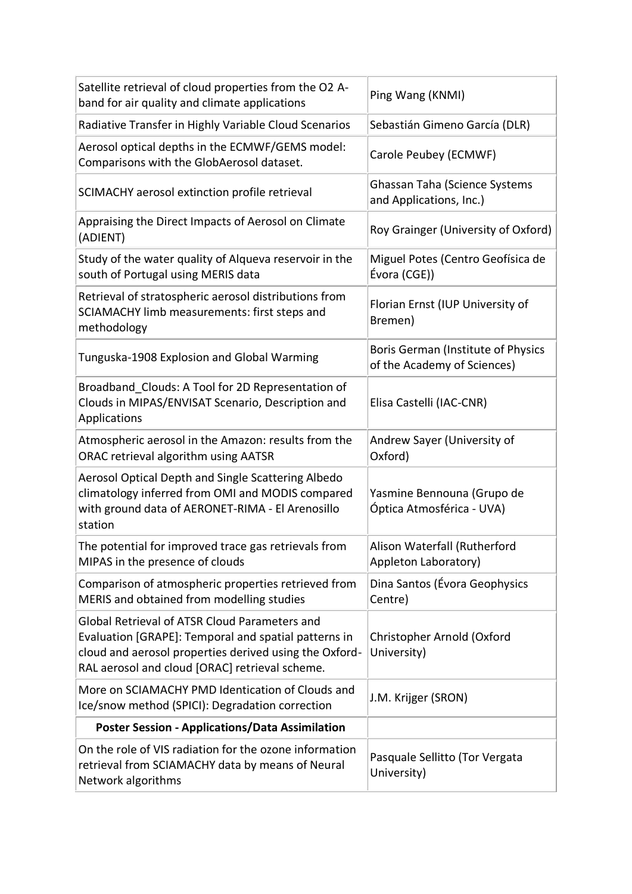| Satellite retrieval of cloud properties from the O2 A-<br>band for air quality and climate applications                                                                                                           | Ping Wang (KNMI)                                                  |
|-------------------------------------------------------------------------------------------------------------------------------------------------------------------------------------------------------------------|-------------------------------------------------------------------|
| Radiative Transfer in Highly Variable Cloud Scenarios                                                                                                                                                             | Sebastián Gimeno García (DLR)                                     |
| Aerosol optical depths in the ECMWF/GEMS model:<br>Comparisons with the GlobAerosol dataset.                                                                                                                      | Carole Peubey (ECMWF)                                             |
| SCIMACHY aerosol extinction profile retrieval                                                                                                                                                                     | Ghassan Taha (Science Systems<br>and Applications, Inc.)          |
| Appraising the Direct Impacts of Aerosol on Climate<br>(ADIENT)                                                                                                                                                   | Roy Grainger (University of Oxford)                               |
| Study of the water quality of Alqueva reservoir in the<br>south of Portugal using MERIS data                                                                                                                      | Miguel Potes (Centro Geofísica de<br>Évora (CGE))                 |
| Retrieval of stratospheric aerosol distributions from<br>SCIAMACHY limb measurements: first steps and<br>methodology                                                                                              | Florian Ernst (IUP University of<br>Bremen)                       |
| Tunguska-1908 Explosion and Global Warming                                                                                                                                                                        | Boris German (Institute of Physics<br>of the Academy of Sciences) |
| Broadband Clouds: A Tool for 2D Representation of<br>Clouds in MIPAS/ENVISAT Scenario, Description and<br>Applications                                                                                            | Elisa Castelli (IAC-CNR)                                          |
| Atmospheric aerosol in the Amazon: results from the<br>ORAC retrieval algorithm using AATSR                                                                                                                       | Andrew Sayer (University of<br>Oxford)                            |
| Aerosol Optical Depth and Single Scattering Albedo<br>climatology inferred from OMI and MODIS compared<br>with ground data of AERONET-RIMA - El Arenosillo<br>station                                             | Yasmine Bennouna (Grupo de<br>Óptica Atmosférica - UVA)           |
| The potential for improved trace gas retrievals from<br>MIPAS in the presence of clouds                                                                                                                           | Alison Waterfall (Rutherford<br>Appleton Laboratory)              |
| Comparison of atmospheric properties retrieved from<br>MERIS and obtained from modelling studies                                                                                                                  | Dina Santos (Évora Geophysics<br>Centre)                          |
| Global Retrieval of ATSR Cloud Parameters and<br>Evaluation [GRAPE]: Temporal and spatial patterns in<br>cloud and aerosol properties derived using the Oxford-<br>RAL aerosol and cloud [ORAC] retrieval scheme. | Christopher Arnold (Oxford<br>University)                         |
| More on SCIAMACHY PMD Identication of Clouds and<br>Ice/snow method (SPICI): Degradation correction                                                                                                               | J.M. Krijger (SRON)                                               |
| <b>Poster Session - Applications/Data Assimilation</b>                                                                                                                                                            |                                                                   |
| On the role of VIS radiation for the ozone information<br>retrieval from SCIAMACHY data by means of Neural<br>Network algorithms                                                                                  | Pasquale Sellitto (Tor Vergata<br>University)                     |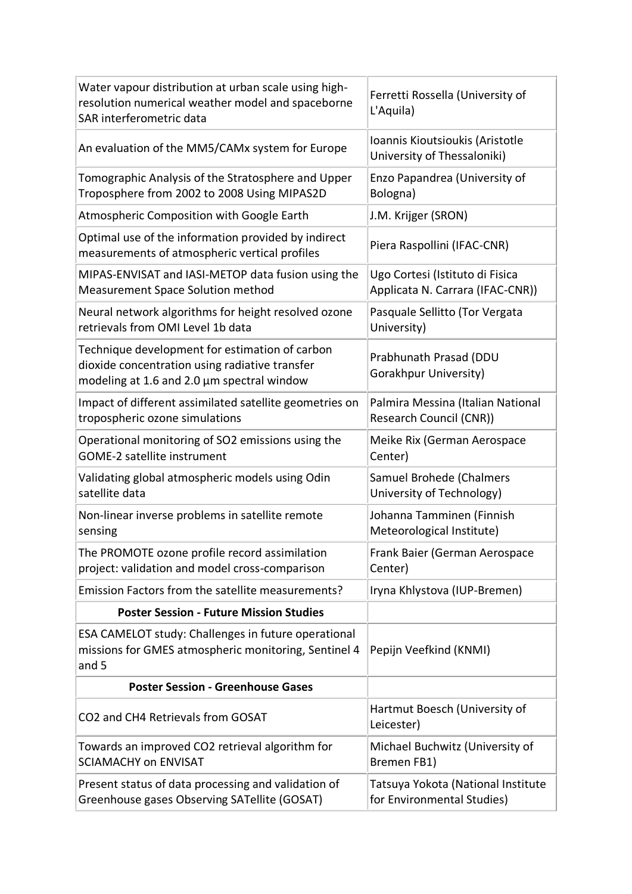| Water vapour distribution at urban scale using high-<br>resolution numerical weather model and spaceborne<br>SAR interferometric data          | Ferretti Rossella (University of<br>L'Aquila)                  |
|------------------------------------------------------------------------------------------------------------------------------------------------|----------------------------------------------------------------|
| An evaluation of the MM5/CAMx system for Europe                                                                                                | Ioannis Kioutsioukis (Aristotle<br>University of Thessaloniki) |
| Tomographic Analysis of the Stratosphere and Upper                                                                                             | Enzo Papandrea (University of                                  |
| Troposphere from 2002 to 2008 Using MIPAS2D                                                                                                    | Bologna)                                                       |
| Atmospheric Composition with Google Earth                                                                                                      | J.M. Krijger (SRON)                                            |
| Optimal use of the information provided by indirect<br>measurements of atmospheric vertical profiles                                           | Piera Raspollini (IFAC-CNR)                                    |
| MIPAS-ENVISAT and IASI-METOP data fusion using the                                                                                             | Ugo Cortesi (Istituto di Fisica                                |
| <b>Measurement Space Solution method</b>                                                                                                       | Applicata N. Carrara (IFAC-CNR))                               |
| Neural network algorithms for height resolved ozone                                                                                            | Pasquale Sellitto (Tor Vergata                                 |
| retrievals from OMI Level 1b data                                                                                                              | University)                                                    |
| Technique development for estimation of carbon<br>dioxide concentration using radiative transfer<br>modeling at 1.6 and 2.0 µm spectral window | Prabhunath Prasad (DDU<br>Gorakhpur University)                |
| Impact of different assimilated satellite geometries on                                                                                        | Palmira Messina (Italian National                              |
| tropospheric ozone simulations                                                                                                                 | Research Council (CNR))                                        |
| Operational monitoring of SO2 emissions using the                                                                                              | Meike Rix (German Aerospace                                    |
| <b>GOME-2 satellite instrument</b>                                                                                                             | Center)                                                        |
| Validating global atmospheric models using Odin                                                                                                | Samuel Brohede (Chalmers                                       |
| satellite data                                                                                                                                 | University of Technology)                                      |
| Non-linear inverse problems in satellite remote                                                                                                | Johanna Tamminen (Finnish                                      |
| sensing                                                                                                                                        | Meteorological Institute)                                      |
| The PROMOTE ozone profile record assimilation                                                                                                  | Frank Baier (German Aerospace                                  |
| project: validation and model cross-comparison                                                                                                 | Center)                                                        |
| Emission Factors from the satellite measurements?                                                                                              | Iryna Khlystova (IUP-Bremen)                                   |
| <b>Poster Session - Future Mission Studies</b>                                                                                                 |                                                                |
| ESA CAMELOT study: Challenges in future operational<br>missions for GMES atmospheric monitoring, Sentinel 4<br>and 5                           | Pepijn Veefkind (KNMI)                                         |
| <b>Poster Session - Greenhouse Gases</b>                                                                                                       |                                                                |
| CO2 and CH4 Retrievals from GOSAT                                                                                                              | Hartmut Boesch (University of<br>Leicester)                    |
| Towards an improved CO2 retrieval algorithm for                                                                                                | Michael Buchwitz (University of                                |
| <b>SCIAMACHY on ENVISAT</b>                                                                                                                    | Bremen FB1)                                                    |
| Present status of data processing and validation of                                                                                            | Tatsuya Yokota (National Institute                             |
| Greenhouse gases Observing SATellite (GOSAT)                                                                                                   | for Environmental Studies)                                     |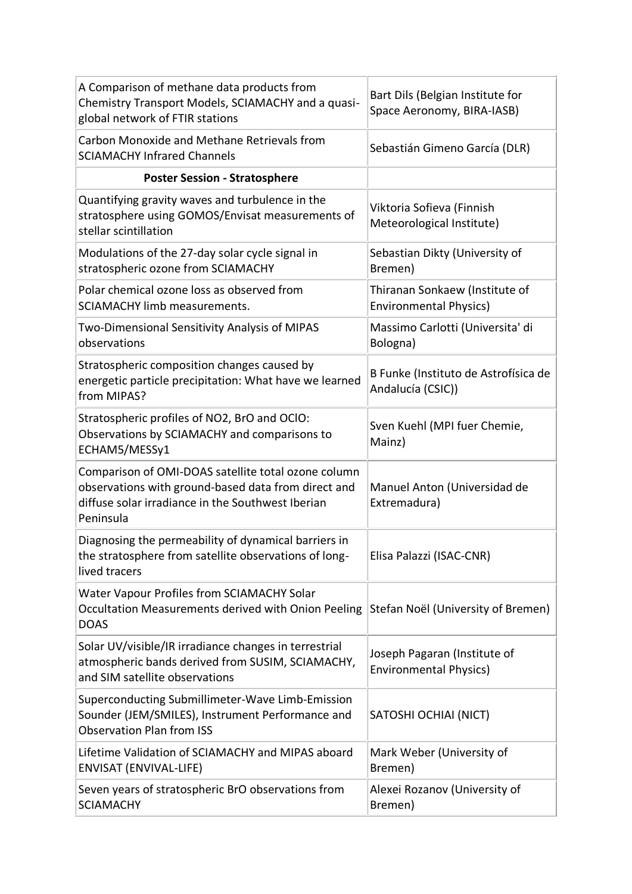| A Comparison of methane data products from<br>Chemistry Transport Models, SCIAMACHY and a quasi-<br>global network of FTIR stations                                          | Bart Dils (Belgian Institute for<br>Space Aeronomy, BIRA-IASB)  |
|------------------------------------------------------------------------------------------------------------------------------------------------------------------------------|-----------------------------------------------------------------|
| Carbon Monoxide and Methane Retrievals from<br><b>SCIAMACHY Infrared Channels</b>                                                                                            | Sebastián Gimeno García (DLR)                                   |
| <b>Poster Session - Stratosphere</b>                                                                                                                                         |                                                                 |
| Quantifying gravity waves and turbulence in the<br>stratosphere using GOMOS/Envisat measurements of<br>stellar scintillation                                                 | Viktoria Sofieva (Finnish<br>Meteorological Institute)          |
| Modulations of the 27-day solar cycle signal in<br>stratospheric ozone from SCIAMACHY                                                                                        | Sebastian Dikty (University of<br>Bremen)                       |
| Polar chemical ozone loss as observed from<br><b>SCIAMACHY limb measurements.</b>                                                                                            | Thiranan Sonkaew (Institute of<br><b>Environmental Physics)</b> |
| Two-Dimensional Sensitivity Analysis of MIPAS<br>observations                                                                                                                | Massimo Carlotti (Universita' di<br>Bologna)                    |
| Stratospheric composition changes caused by<br>energetic particle precipitation: What have we learned<br>from MIPAS?                                                         | B Funke (Instituto de Astrofísica de<br>Andalucía (CSIC))       |
| Stratospheric profiles of NO2, BrO and OCIO:<br>Observations by SCIAMACHY and comparisons to<br>ECHAM5/MESSy1                                                                | Sven Kuehl (MPI fuer Chemie,<br>Mainz)                          |
| Comparison of OMI-DOAS satellite total ozone column<br>observations with ground-based data from direct and<br>diffuse solar irradiance in the Southwest Iberian<br>Peninsula | Manuel Anton (Universidad de<br>Extremadura)                    |
| Diagnosing the permeability of dynamical barriers in<br>the stratosphere from satellite observations of long-<br>lived tracers                                               | Elisa Palazzi (ISAC-CNR)                                        |
| Water Vapour Profiles from SCIAMACHY Solar<br>Occultation Measurements derived with Onion Peeling<br><b>DOAS</b>                                                             | Stefan Noël (University of Bremen)                              |
| Solar UV/visible/IR irradiance changes in terrestrial<br>atmospheric bands derived from SUSIM, SCIAMACHY,<br>and SIM satellite observations                                  | Joseph Pagaran (Institute of<br><b>Environmental Physics)</b>   |
| Superconducting Submillimeter-Wave Limb-Emission<br>Sounder (JEM/SMILES), Instrument Performance and<br><b>Observation Plan from ISS</b>                                     | SATOSHI OCHIAI (NICT)                                           |
| Lifetime Validation of SCIAMACHY and MIPAS aboard<br><b>ENVISAT (ENVIVAL-LIFE)</b>                                                                                           | Mark Weber (University of<br>Bremen)                            |
| Seven years of stratospheric BrO observations from<br><b>SCIAMACHY</b>                                                                                                       | Alexei Rozanov (University of<br>Bremen)                        |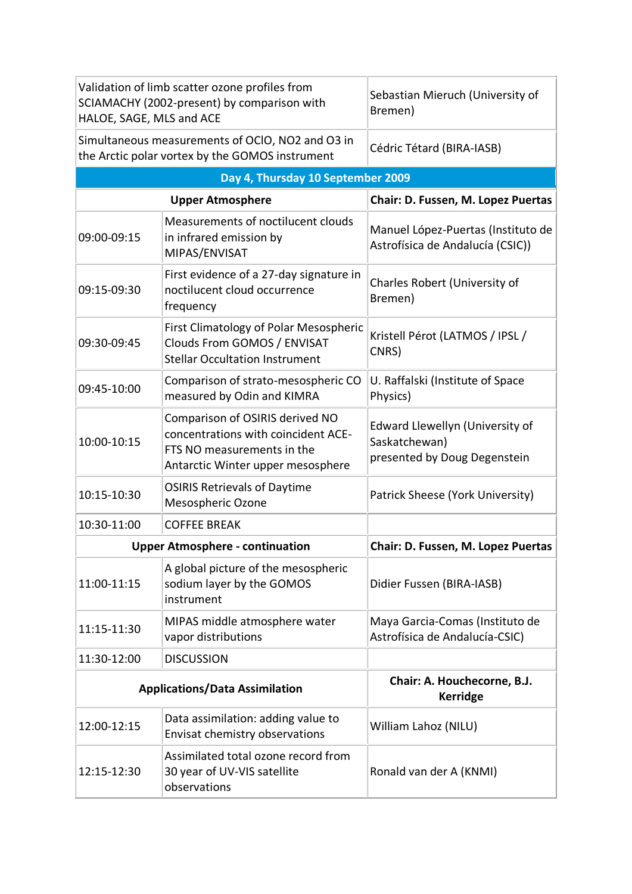| Validation of limb scatter ozone profiles from<br>SCIAMACHY (2002-present) by comparison with<br>HALOE, SAGE, MLS and ACE |                                                                                                                                           | Sebastian Mieruch (University of<br>Bremen)                                      |  |  |
|---------------------------------------------------------------------------------------------------------------------------|-------------------------------------------------------------------------------------------------------------------------------------------|----------------------------------------------------------------------------------|--|--|
| Simultaneous measurements of OCIO, NO2 and O3 in<br>the Arctic polar vortex by the GOMOS instrument                       |                                                                                                                                           | Cédric Tétard (BIRA-IASB)                                                        |  |  |
| Day 4, Thursday 10 September 2009                                                                                         |                                                                                                                                           |                                                                                  |  |  |
| <b>Upper Atmosphere</b>                                                                                                   |                                                                                                                                           | Chair: D. Fussen, M. Lopez Puertas                                               |  |  |
| 09:00-09:15                                                                                                               | Measurements of noctilucent clouds<br>in infrared emission by<br>MIPAS/ENVISAT                                                            | Manuel López-Puertas (Instituto de<br>Astrofísica de Andalucía (CSIC))           |  |  |
| 09:15-09:30                                                                                                               | First evidence of a 27-day signature in<br>noctilucent cloud occurrence<br>frequency                                                      | Charles Robert (University of<br>Bremen)                                         |  |  |
| 09:30-09:45                                                                                                               | <b>First Climatology of Polar Mesospheric</b><br>Clouds From GOMOS / ENVISAT<br><b>Stellar Occultation Instrument</b>                     | Kristell Pérot (LATMOS / IPSL /<br>CNRS)                                         |  |  |
| 09:45-10:00                                                                                                               | Comparison of strato-mesospheric CO<br>measured by Odin and KIMRA                                                                         | U. Raffalski (Institute of Space<br>Physics)                                     |  |  |
| 10:00-10:15                                                                                                               | Comparison of OSIRIS derived NO<br>concentrations with coincident ACE-<br>FTS NO measurements in the<br>Antarctic Winter upper mesosphere | Edward Llewellyn (University of<br>Saskatchewan)<br>presented by Doug Degenstein |  |  |
| 10:15-10:30                                                                                                               | <b>OSIRIS Retrievals of Daytime</b><br>Mesospheric Ozone                                                                                  | Patrick Sheese (York University)                                                 |  |  |
| 10:30-11:00                                                                                                               | <b>COFFEE BREAK</b>                                                                                                                       |                                                                                  |  |  |
| <b>Upper Atmosphere - continuation</b>                                                                                    |                                                                                                                                           | Chair: D. Fussen, M. Lopez Puertas                                               |  |  |
| 11:00-11:15                                                                                                               | A global picture of the mesospheric<br>sodium layer by the GOMOS<br>instrument                                                            | Didier Fussen (BIRA-IASB)                                                        |  |  |
| 11:15-11:30                                                                                                               | MIPAS middle atmosphere water<br>vapor distributions                                                                                      | Maya Garcia-Comas (Instituto de<br>Astrofísica de Andalucía-CSIC)                |  |  |
| 11:30-12:00                                                                                                               | <b>DISCUSSION</b>                                                                                                                         |                                                                                  |  |  |
| <b>Applications/Data Assimilation</b>                                                                                     |                                                                                                                                           | Chair: A. Houchecorne, B.J.<br><b>Kerridge</b>                                   |  |  |
| 12:00-12:15                                                                                                               | Data assimilation: adding value to<br>Envisat chemistry observations                                                                      | William Lahoz (NILU)                                                             |  |  |
| 12:15-12:30                                                                                                               | Assimilated total ozone record from<br>30 year of UV-VIS satellite<br>observations                                                        | Ronald van der A (KNMI)                                                          |  |  |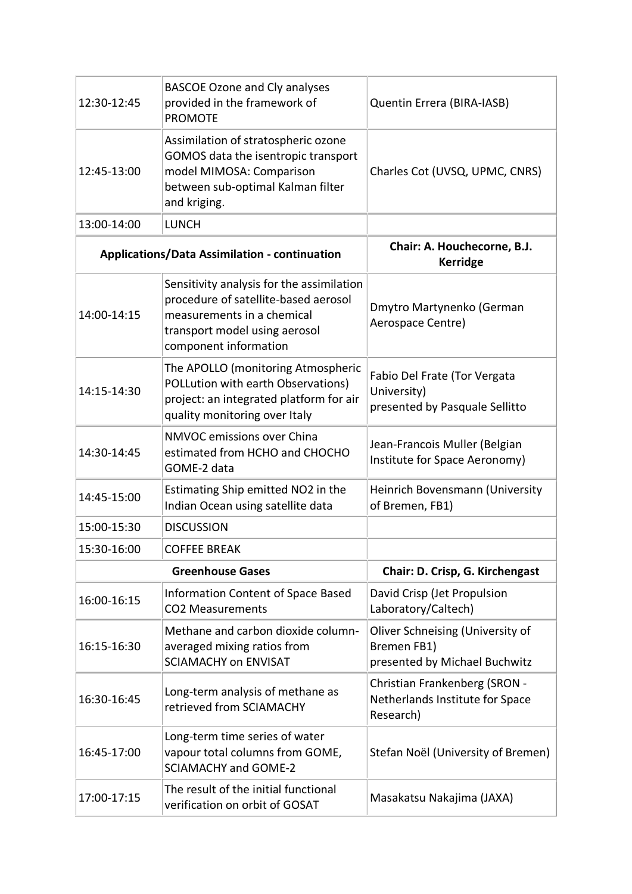| 12:30-12:45             | <b>BASCOE Ozone and Cly analyses</b><br>provided in the framework of<br><b>PROMOTE</b>                                                                                    | Quentin Errera (BIRA-IASB)                                                       |
|-------------------------|---------------------------------------------------------------------------------------------------------------------------------------------------------------------------|----------------------------------------------------------------------------------|
| 12:45-13:00             | Assimilation of stratospheric ozone<br>GOMOS data the isentropic transport<br>model MIMOSA: Comparison<br>between sub-optimal Kalman filter<br>and kriging.               | Charles Cot (UVSQ, UPMC, CNRS)                                                   |
| 13:00-14:00             | <b>LUNCH</b>                                                                                                                                                              |                                                                                  |
|                         | <b>Applications/Data Assimilation - continuation</b>                                                                                                                      | Chair: A. Houchecorne, B.J.<br><b>Kerridge</b>                                   |
| 14:00-14:15             | Sensitivity analysis for the assimilation<br>procedure of satellite-based aerosol<br>measurements in a chemical<br>transport model using aerosol<br>component information | Dmytro Martynenko (German<br>Aerospace Centre)                                   |
| 14:15-14:30             | The APOLLO (monitoring Atmospheric<br>POLLution with earth Observations)<br>project: an integrated platform for air<br>quality monitoring over Italy                      | Fabio Del Frate (Tor Vergata<br>University)<br>presented by Pasquale Sellitto    |
| 14:30-14:45             | NMVOC emissions over China<br>estimated from HCHO and CHOCHO<br>GOME-2 data                                                                                               | Jean-Francois Muller (Belgian<br>Institute for Space Aeronomy)                   |
| 14:45-15:00             | Estimating Ship emitted NO2 in the<br>Indian Ocean using satellite data                                                                                                   | Heinrich Bovensmann (University<br>of Bremen, FB1)                               |
| 15:00-15:30             | <b>DISCUSSION</b>                                                                                                                                                         |                                                                                  |
| 15:30-16:00             | <b>COFFEE BREAK</b>                                                                                                                                                       |                                                                                  |
| <b>Greenhouse Gases</b> |                                                                                                                                                                           | Chair: D. Crisp, G. Kirchengast                                                  |
| 16:00-16:15             | Information Content of Space Based<br><b>CO2 Measurements</b>                                                                                                             | David Crisp (Jet Propulsion<br>Laboratory/Caltech)                               |
| 16:15-16:30             | Methane and carbon dioxide column-<br>averaged mixing ratios from<br><b>SCIAMACHY on ENVISAT</b>                                                                          | Oliver Schneising (University of<br>Bremen FB1)<br>presented by Michael Buchwitz |
| 16:30-16:45             | Long-term analysis of methane as<br>retrieved from SCIAMACHY                                                                                                              | Christian Frankenberg (SRON -<br>Netherlands Institute for Space<br>Research)    |
| 16:45-17:00             | Long-term time series of water<br>vapour total columns from GOME,<br><b>SCIAMACHY and GOME-2</b>                                                                          | Stefan Noël (University of Bremen)                                               |
| 17:00-17:15             | The result of the initial functional<br>verification on orbit of GOSAT                                                                                                    | Masakatsu Nakajima (JAXA)                                                        |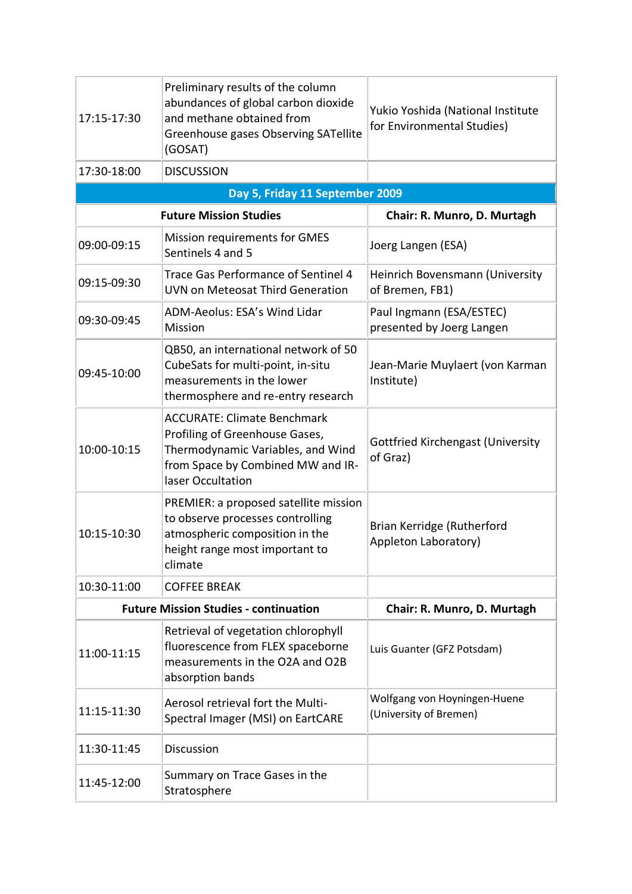| 17:15-17:30                                  | Preliminary results of the column<br>abundances of global carbon dioxide<br>and methane obtained from<br>Greenhouse gases Observing SATellite<br>(GOSAT)            | Yukio Yoshida (National Institute<br>for Environmental Studies) |  |  |  |
|----------------------------------------------|---------------------------------------------------------------------------------------------------------------------------------------------------------------------|-----------------------------------------------------------------|--|--|--|
| 17:30-18:00                                  | <b>DISCUSSION</b>                                                                                                                                                   |                                                                 |  |  |  |
|                                              | Day 5, Friday 11 September 2009                                                                                                                                     |                                                                 |  |  |  |
|                                              | <b>Future Mission Studies</b>                                                                                                                                       | Chair: R. Munro, D. Murtagh                                     |  |  |  |
| 09:00-09:15                                  | Mission requirements for GMES<br>Sentinels 4 and 5                                                                                                                  | Joerg Langen (ESA)                                              |  |  |  |
| 09:15-09:30                                  | <b>Trace Gas Performance of Sentinel 4</b><br>UVN on Meteosat Third Generation                                                                                      | Heinrich Bovensmann (University<br>of Bremen, FB1)              |  |  |  |
| 09:30-09:45                                  | ADM-Aeolus: ESA's Wind Lidar<br>Mission                                                                                                                             | Paul Ingmann (ESA/ESTEC)<br>presented by Joerg Langen           |  |  |  |
| 09:45-10:00                                  | QB50, an international network of 50<br>CubeSats for multi-point, in-situ<br>measurements in the lower<br>thermosphere and re-entry research                        | Jean-Marie Muylaert (von Karman<br>Institute)                   |  |  |  |
| 10:00-10:15                                  | <b>ACCURATE: Climate Benchmark</b><br>Profiling of Greenhouse Gases,<br>Thermodynamic Variables, and Wind<br>from Space by Combined MW and IR-<br>laser Occultation | <b>Gottfried Kirchengast (University</b><br>of Graz)            |  |  |  |
| 10:15-10:30                                  | PREMIER: a proposed satellite mission<br>to observe processes controlling<br>atmospheric composition in the<br>height range most important to<br>climate            | Brian Kerridge (Rutherford<br>Appleton Laboratory)              |  |  |  |
| 10:30-11:00                                  | <b>COFFEE BREAK</b>                                                                                                                                                 |                                                                 |  |  |  |
| <b>Future Mission Studies - continuation</b> |                                                                                                                                                                     | Chair: R. Munro, D. Murtagh                                     |  |  |  |
| 11:00-11:15                                  | Retrieval of vegetation chlorophyll<br>fluorescence from FLEX spaceborne<br>measurements in the O2A and O2B<br>absorption bands                                     | Luis Guanter (GFZ Potsdam)                                      |  |  |  |
| 11:15-11:30                                  | Aerosol retrieval fort the Multi-<br>Spectral Imager (MSI) on EartCARE                                                                                              | Wolfgang von Hoyningen-Huene<br>(University of Bremen)          |  |  |  |
| 11:30-11:45                                  | Discussion                                                                                                                                                          |                                                                 |  |  |  |
| 11:45-12:00                                  | Summary on Trace Gases in the<br>Stratosphere                                                                                                                       |                                                                 |  |  |  |